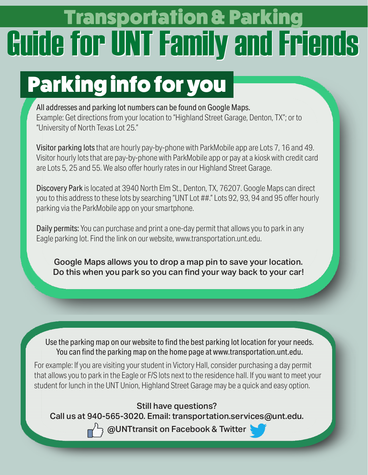## Guide for UNT Family and Friends Guide for UNT Family and Friends Transportation & Parking

## Parking info for you

All addresses and parking lot numbers can be found on Google Maps. Example: Get directions from your location to "Highland Street Garage, Denton, TX"; or to "University of North Texas Lot 25."

Visitor parking lots that are hourly pay-by-phone with ParkMobile app are Lots 7, 16 and 49. Visitor hourly lots that are pay-by-phone with ParkMobile app or pay at a kiosk with credit card are Lots 5, 25 and 55. We also offer hourly rates in our Highland Street Garage.

Discovery Park is located at 3940 North Elm St., Denton, TX, 76207. Google Maps can direct you to this address to these lots by searching "UNT Lot ##." Lots 92, 93, 94 and 95 offer hourly parking via the ParkMobile app on your smartphone.

Daily permits: You can purchase and print a one-day permit that allows you to park in any Eagle parking lot. Find the link on our website, www.transportation.unt.edu.

Google Maps allows you to drop a map pin to save your location. Do this when you park so you can find your way back to your car!

Use the parking map on our website to find the best parking lot location for your needs. You can find the parking map on the home page at www.transportation.unt.edu.

For example: If you are visiting your student in Victory Hall, consider purchasing a day permit that allows you to park in the Eagle or F/S lots next to the residence hall. If you want to meet your student for lunch in the UNT Union, Highland Street Garage may be a quick and easy option.

Still have questions?

Call us at 940-565-3020. Email: transportation.services@unt.edu.

 $\beta$  @UNTtransit on Facebook & Twitter